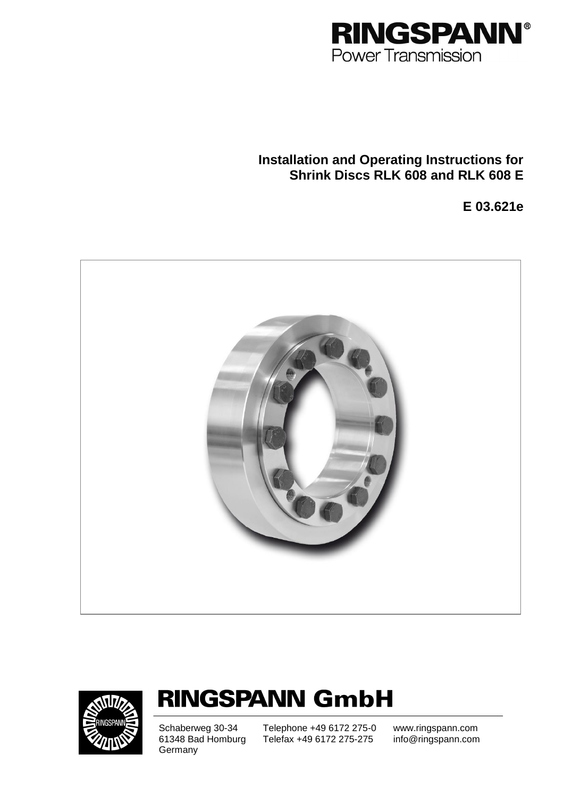

# **Installation and Operating Instructions for Shrink Discs RLK 608 and RLK 608 E**

**E 03.621e**





# **RINGSPANN GmbH**

**Germany** 

Schaberweg 30-34 Telephone +49 6172 275-0<br>61348 Bad Homburg Telefax +49 6172 275-275 61348 Bad Homburg Telefax +49 6172 275-275 info@ringspann.com

www.ringspann.com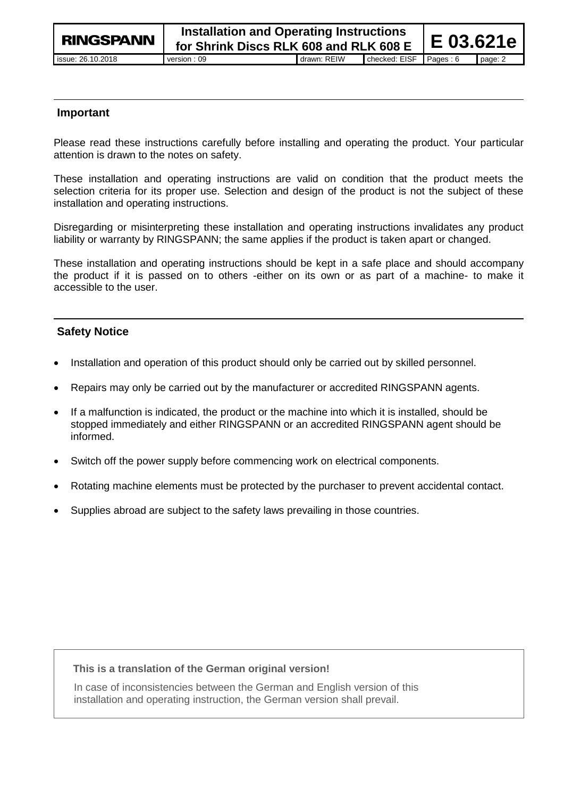### **Important**

Please read these instructions carefully before installing and operating the product. Your particular attention is drawn to the notes on safety.

These installation and operating instructions are valid on condition that the product meets the selection criteria for its proper use. Selection and design of the product is not the subject of these installation and operating instructions.

Disregarding or misinterpreting these installation and operating instructions invalidates any product liability or warranty by RINGSPANN; the same applies if the product is taken apart or changed.

These installation and operating instructions should be kept in a safe place and should accompany the product if it is passed on to others -either on its own or as part of a machine- to make it accessible to the user.

# **Safety Notice**

- Installation and operation of this product should only be carried out by skilled personnel.
- Repairs may only be carried out by the manufacturer or accredited RINGSPANN agents.
- If a malfunction is indicated, the product or the machine into which it is installed, should be stopped immediately and either RINGSPANN or an accredited RINGSPANN agent should be informed.
- Switch off the power supply before commencing work on electrical components.
- Rotating machine elements must be protected by the purchaser to prevent accidental contact.
- Supplies abroad are subject to the safety laws prevailing in those countries.

#### **This is a translation of the German original version!**

In case of inconsistencies between the German and English version of this installation and operating instruction, the German version shall prevail.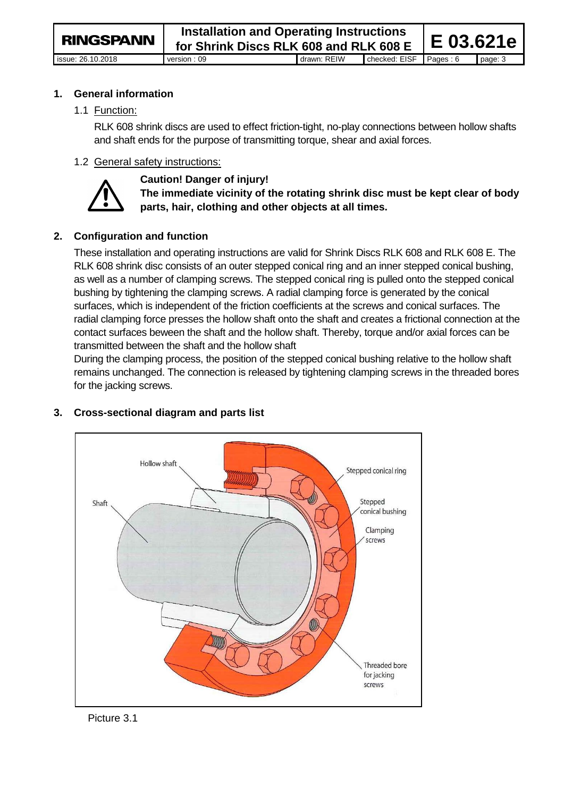**1. General information**

1.1 Function:

RLK 608 shrink discs are used to effect friction-tight, no-play connections between hollow shafts and shaft ends for the purpose of transmitting torque, shear and axial forces.

# 1.2 General safety instructions:



# **Caution! Danger of injury!**

**The immediate vicinity of the rotating shrink disc must be kept clear of body parts, hair, clothing and other objects at all times.** 

# **2. Configuration and function**

These installation and operating instructions are valid for Shrink Discs RLK 608 and RLK 608 E. The RLK 608 shrink disc consists of an outer stepped conical ring and an inner stepped conical bushing, as well as a number of clamping screws. The stepped conical ring is pulled onto the stepped conical bushing by tightening the clamping screws. A radial clamping force is generated by the conical surfaces, which is independent of the friction coefficients at the screws and conical surfaces. The radial clamping force presses the hollow shaft onto the shaft and creates a frictional connection at the contact surfaces beween the shaft and the hollow shaft. Thereby, torque and/or axial forces can be transmitted between the shaft and the hollow shaft

During the clamping process, the position of the stepped conical bushing relative to the hollow shaft remains unchanged. The connection is released by tightening clamping screws in the threaded bores for the jacking screws.



# **3. Cross-sectional diagram and parts list**

Picture 3.1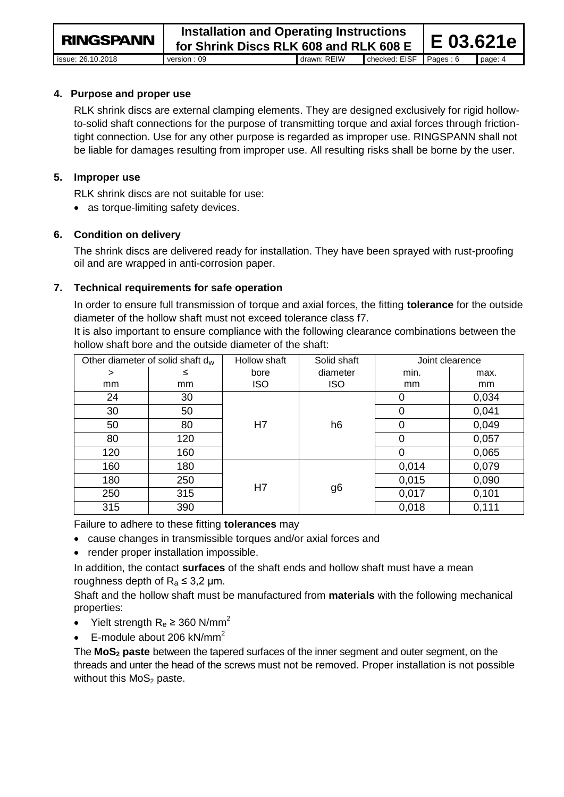**4. Purpose and proper use**

RLK shrink discs are external clamping elements. They are designed exclusively for rigid hollowto-solid shaft connections for the purpose of transmitting torque and axial forces through frictiontight connection. Use for any other purpose is regarded as improper use. RINGSPANN shall not be liable for damages resulting from improper use. All resulting risks shall be borne by the user.

# **5. Improper use**

RLK shrink discs are not suitable for use:

• as torque-limiting safety devices.

# **6. Condition on delivery**

The shrink discs are delivered ready for installation. They have been sprayed with rust-proofing oil and are wrapped in anti-corrosion paper.

# **7. Technical requirements for safe operation**

In order to ensure full transmission of torque and axial forces, the fitting **tolerance** for the outside diameter of the hollow shaft must not exceed tolerance class f7.

It is also important to ensure compliance with the following clearance combinations between the hollow shaft bore and the outside diameter of the shaft:

| Other diameter of solid shaft $d_W$ |     | Hollow shaft | Solid shaft | Joint clearence |       |
|-------------------------------------|-----|--------------|-------------|-----------------|-------|
| >                                   | ≤   | bore         | diameter    | min.            | max.  |
| mm                                  | mm  | <b>ISO</b>   | <b>ISO</b>  | mm              | mm    |
| 24                                  | 30  | H7           | h6          | 0               | 0,034 |
| 30                                  | 50  |              |             | 0               | 0,041 |
| 50                                  | 80  |              |             | 0               | 0,049 |
| 80                                  | 120 |              |             | 0               | 0,057 |
| 120                                 | 160 |              |             | 0               | 0,065 |
| 160                                 | 180 | H7           | g6          | 0,014           | 0,079 |
| 180                                 | 250 |              |             | 0,015           | 0,090 |
| 250                                 | 315 |              |             | 0,017           | 0,101 |
| 315                                 | 390 |              |             | 0,018           | 0,111 |

Failure to adhere to these fitting **tolerances** may

- cause changes in transmissible torques and/or axial forces and
- render proper installation impossible.

In addition, the contact **surfaces** of the shaft ends and hollow shaft must have a mean roughness depth of  $R_a \leq 3.2$  µm.

Shaft and the hollow shaft must be manufactured from **materials** with the following mechanical properties:

- Yielt strength  $R_e \ge 360$  N/mm<sup>2</sup>
- $\bullet$  E-module about 206 kN/mm<sup>2</sup>

The **MoS<sup>2</sup> paste** between the tapered surfaces of the inner segment and outer segment, on the threads and unter the head of the screws must not be removed. Proper installation is not possible without this  $MoS<sub>2</sub>$  paste.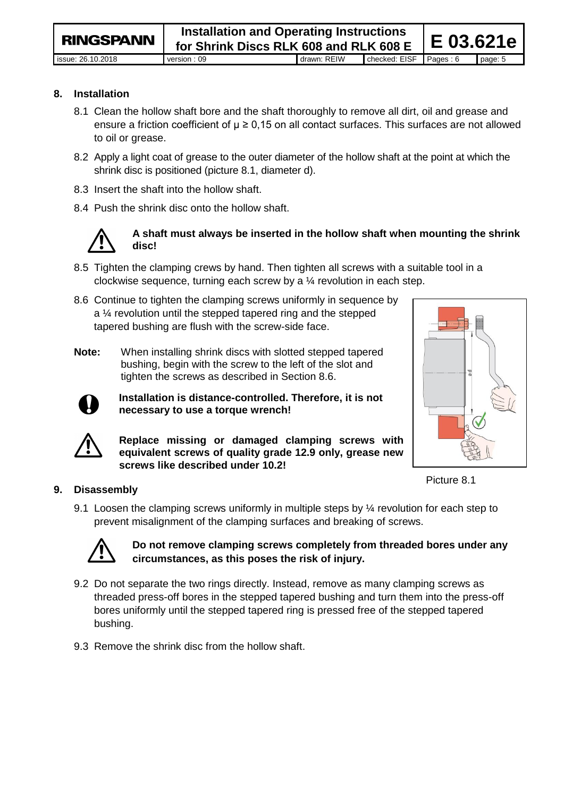**RINGSPANN** 

#### **8. Installation**

- 8.1 Clean the hollow shaft bore and the shaft thoroughly to remove all dirt, oil and grease and ensure a friction coefficient of  $\mu \geq 0.15$  on all contact surfaces. This surfaces are not allowed to oil or grease.
- 8.2 Apply a light coat of grease to the outer diameter of the hollow shaft at the point at which the shrink disc is positioned (picture 8.1, diameter d).
- 8.3 Insert the shaft into the hollow shaft.
- 8.4 Push the shrink disc onto the hollow shaft.



### **A shaft must always be inserted in the hollow shaft when mounting the shrink disc!**

- 8.5 Tighten the clamping crews by hand. Then tighten all screws with a suitable tool in a clockwise sequence, turning each screw by a ¼ revolution in each step.
- 8.6 Continue to tighten the clamping screws uniformly in sequence by a ¼ revolution until the stepped tapered ring and the stepped tapered bushing are flush with the screw-side face.
- **Note:** When installing shrink discs with slotted stepped tapered bushing, begin with the screw to the left of the slot and tighten the screws as described in Section 8.6.

**Installation is distance-controlled. Therefore, it is not necessary to use a torque wrench!**



**Replace missing or damaged clamping screws with equivalent screws of quality grade 12.9 only, grease new screws like described under 10.2!** 

Picture 8.1

### **9. Disassembly**

9.1 Loosen the clamping screws uniformly in multiple steps by  $\frac{1}{4}$  revolution for each step to prevent misalignment of the clamping surfaces and breaking of screws.



# **Do not remove clamping screws completely from threaded bores under any circumstances, as this poses the risk of injury.**

- 9.2 Do not separate the two rings directly. Instead, remove as many clamping screws as threaded press-off bores in the stepped tapered bushing and turn them into the press-off bores uniformly until the stepped tapered ring is pressed free of the stepped tapered bushing.
- 9.3 Remove the shrink disc from the hollow shaft.